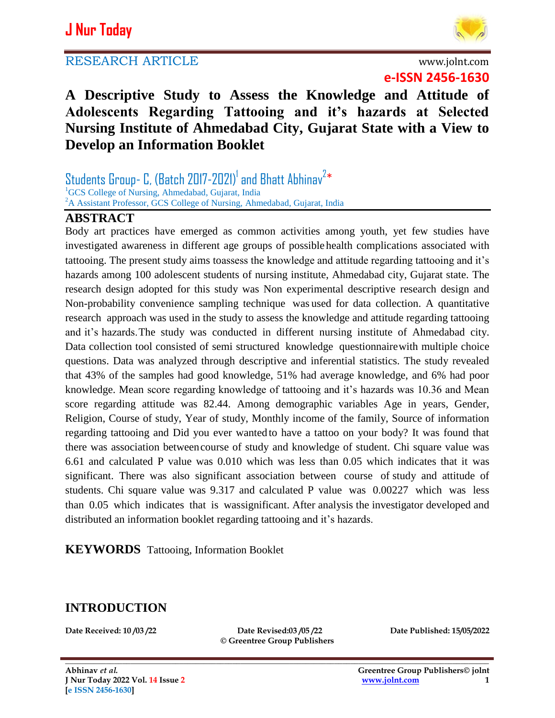# **J Nur Today**





**e-ISSN 2456-1630**

# **A Descriptive Study to Assess the Knowledge and Attitude of Adolescents Regarding Tattooing and it's hazards at Selected Nursing Institute of Ahmedabad City, Gujarat State with a View to Develop an Information Booklet**

Students Group- C, (Batch 2017-2021) $^{\text{1}}$  and Bhatt Abhinav $^{2\,*}$ <sup>1</sup>GCS College of Nursing, Ahmedabad, Gujarat, India <sup>2</sup>A Assistant Professor, GCS College of Nursing, Ahmedabad, Gujarat, India

#### **ABSTRACT**

Body art practices have emerged as common activities among youth, yet few studies have investigated awareness in different age groups of possible health complications associated with tattooing. The present study aims toassess the knowledge and attitude regarding tattooing and it's hazards among 100 adolescent students of nursing institute, Ahmedabad city, Gujarat state. The research design adopted for this study was Non experimental descriptive research design and Non-probability convenience sampling technique was used for data collection. A quantitative research approach was used in the study to assess the knowledge and attitude regarding tattooing and it's hazards.The study was conducted in different nursing institute of Ahmedabad city. Data collection tool consisted of semi structured knowledge questionnairewith multiple choice questions. Data was analyzed through descriptive and inferential statistics. The study revealed that 43% of the samples had good knowledge, 51% had average knowledge, and 6% had poor knowledge. Mean score regarding knowledge of tattooing and it's hazards was 10.36 and Mean score regarding attitude was 82.44. Among demographic variables Age in years, Gender, Religion, Course of study, Year of study, Monthly income of the family, Source of information regarding tattooing and Did you ever wanted to have a tattoo on your body? It was found that there was association betweencourse of study and knowledge of student. Chi square value was 6.61 and calculated P value was 0.010 which was less than 0.05 which indicates that it was significant. There was also significant association between course of study and attitude of students. Chi square value was 9.317 and calculated P value was 0.00227 which was less than 0.05 which indicates that is wassignificant. After analysis the investigator developed and distributed an information booklet regarding tattooing and it's hazards.

**KEYWORDS** Tattooing, Information Booklet

### **INTRODUCTION**

**Date Received: 10 /03 /22 Date Revised:03 /05 /22 Date Published: 15/05/2022 © Greentree Group Publishers**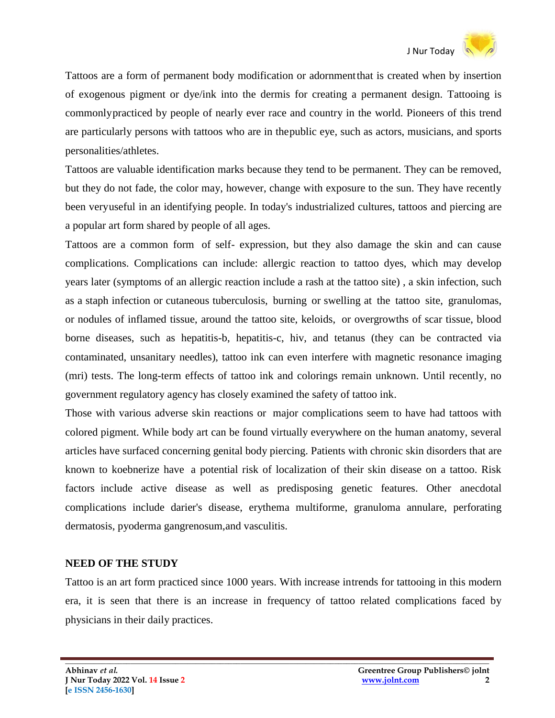Tattoos are a form of permanent body modification or adornmentthat is created when by insertion of exogenous pigment or dye/ink into the dermis for creating a permanent design. Tattooing is commonlypracticed by people of nearly ever race and country in the world. Pioneers of this trend are particularly persons with tattoos who are in thepublic eye, such as actors, musicians, and sports personalities/athletes.

Tattoos are valuable identification marks because they tend to be permanent. They can be removed, but they do not fade, the color may, however, change with exposure to the sun. They have recently been veryuseful in an identifying people. In today's industrialized cultures, tattoos and piercing are a popular art form shared by people of all ages.

Tattoos are a common form of self- expression, but they also damage the skin and can cause complications. Complications can include: allergic reaction to tattoo dyes, which may develop years later (symptoms of an allergic reaction include a rash at the tattoo site) , a skin infection, such as a staph infection or cutaneous tuberculosis, burning or swelling at the tattoo site, granulomas, or nodules of inflamed tissue, around the tattoo site, keloids, or overgrowths of scar tissue, blood borne diseases, such as hepatitis-b, hepatitis-c, hiv, and tetanus (they can be contracted via contaminated, unsanitary needles), tattoo ink can even interfere with magnetic resonance imaging (mri) tests. The long-term effects of tattoo ink and colorings remain unknown. Until recently, no government regulatory agency has closely examined the safety of tattoo ink.

Those with various adverse skin reactions or major complications seem to have had tattoos with colored pigment. While body art can be found virtually everywhere on the human anatomy, several articles have surfaced concerning genital body piercing. Patients with chronic skin disorders that are known to koebnerize have a potential risk of localization of their skin disease on a tattoo. Risk factors include active disease as well as predisposing genetic features. Other anecdotal complications include darier's disease, erythema multiforme, granuloma annulare, perforating dermatosis, pyoderma gangrenosum,and vasculitis.

#### **NEED OF THE STUDY**

Tattoo is an art form practiced since 1000 years. With increase intrends for tattooing in this modern era, it is seen that there is an increase in frequency of tattoo related complications faced by physicians in their daily practices.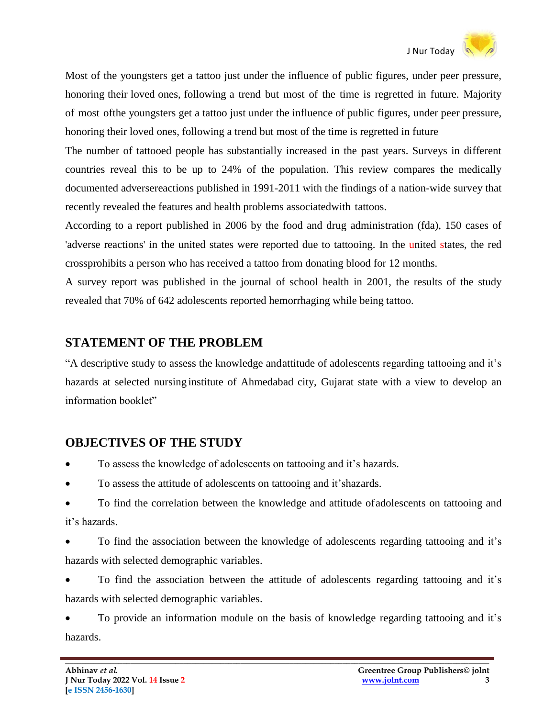Most of the youngsters get a tattoo just under the influence of public figures, under peer pressure, honoring their loved ones, following a trend but most of the time is regretted in future. Majority of most ofthe youngsters get a tattoo just under the influence of public figures, under peer pressure, honoring their loved ones, following a trend but most of the time is regretted in future

The number of tattooed people has substantially increased in the past years. Surveys in different countries reveal this to be up to 24% of the population. This review compares the medically documented adversereactions published in 1991-2011 with the findings of a nation-wide survey that recently revealed the features and health problems associatedwith tattoos.

According to a report published in 2006 by the food and drug administration (fda), 150 cases of 'adverse reactions' in the united states were reported due to tattooing. In the united states, the red crossprohibits a person who has received a tattoo from donating blood for 12 months.

A survey report was published in the journal of school health in 2001, the results of the study revealed that 70% of 642 adolescents reported hemorrhaging while being tattoo.

### **STATEMENT OF THE PROBLEM**

"A descriptive study to assess the knowledge andattitude of adolescents regarding tattooing and it's hazards at selected nursing institute of Ahmedabad city, Gujarat state with a view to develop an information booklet"

# **OBJECTIVES OF THE STUDY**

- To assess the knowledge of adolescents on tattooing and it's hazards.
- To assess the attitude of adolescents on tattooing and it'shazards.
- To find the correlation between the knowledge and attitude ofadolescents on tattooing and it's hazards.

 To find the association between the knowledge of adolescents regarding tattooing and it's hazards with selected demographic variables.

 To find the association between the attitude of adolescents regarding tattooing and it's hazards with selected demographic variables.

 To provide an information module on the basis of knowledge regarding tattooing and it's hazards.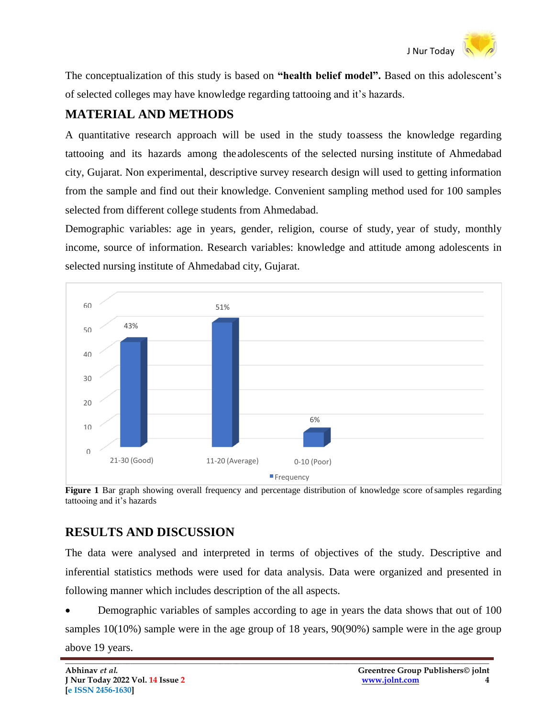

The conceptualization of this study is based on **"health belief model".** Based on this adolescent's of selected colleges may have knowledge regarding tattooing and it's hazards.

# **MATERIAL AND METHODS**

A quantitative research approach will be used in the study toassess the knowledge regarding tattooing and its hazards among the adolescents of the selected nursing institute of Ahmedabad city, Gujarat. Non experimental, descriptive survey research design will used to getting information from the sample and find out their knowledge. Convenient sampling method used for 100 samples selected from different college students from Ahmedabad.

Demographic variables: age in years, gender, religion, course of study, year of study, monthly income, source of information. Research variables: knowledge and attitude among adolescents in selected nursing institute of Ahmedabad city, Gujarat.



**Figure 1** Bar graph showing overall frequency and percentage distribution of knowledge score of samples regarding tattooing and it's hazards

# **RESULTS AND DISCUSSION**

The data were analysed and interpreted in terms of objectives of the study. Descriptive and inferential statistics methods were used for data analysis. Data were organized and presented in following manner which includes description of the all aspects.

 Demographic variables of samples according to age in years the data shows that out of 100 samples 10(10%) sample were in the age group of 18 years, 90(90%) sample were in the age group above 19 years.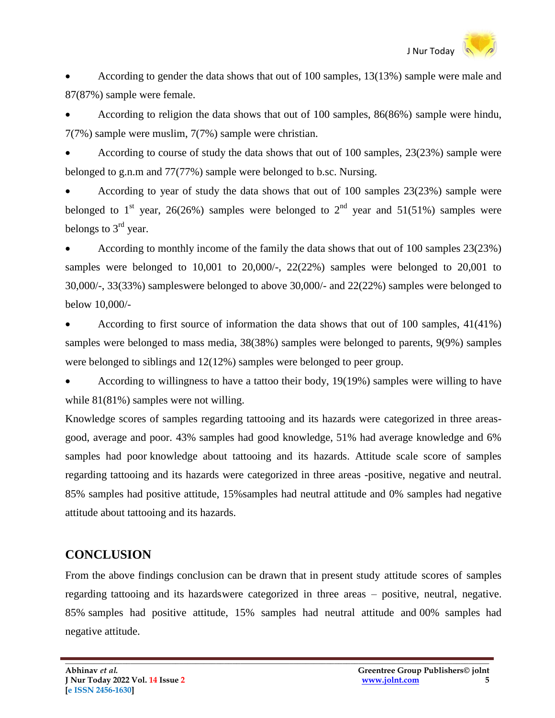

 According to gender the data shows that out of 100 samples, 13(13%) sample were male and 87(87%) sample were female.

 According to religion the data shows that out of 100 samples, 86(86%) sample were hindu, 7(7%) sample were muslim, 7(7%) sample were christian.

 According to course of study the data shows that out of 100 samples, 23(23%) sample were belonged to g.n.m and 77(77%) sample were belonged to b.sc. Nursing.

 According to year of study the data shows that out of 100 samples 23(23%) sample were belonged to 1<sup>st</sup> year, 26(26%) samples were belonged to 2<sup>nd</sup> year and 51(51%) samples were belongs to  $3<sup>rd</sup>$  year.

 According to monthly income of the family the data shows that out of 100 samples 23(23%) samples were belonged to 10,001 to 20,000/-, 22(22%) samples were belonged to 20,001 to 30,000/-, 33(33%) sampleswere belonged to above 30,000/- and 22(22%) samples were belonged to below 10,000/-

 According to first source of information the data shows that out of 100 samples, 41(41%) samples were belonged to mass media, 38(38%) samples were belonged to parents, 9(9%) samples were belonged to siblings and 12(12%) samples were belonged to peer group.

 According to willingness to have a tattoo their body, 19(19%) samples were willing to have while  $81(81%)$  samples were not willing.

Knowledge scores of samples regarding tattooing and its hazards were categorized in three areasgood, average and poor. 43% samples had good knowledge, 51% had average knowledge and 6% samples had poor knowledge about tattooing and its hazards. Attitude scale score of samples regarding tattooing and its hazards were categorized in three areas -positive, negative and neutral. 85% samples had positive attitude, 15%samples had neutral attitude and 0% samples had negative attitude about tattooing and its hazards.

### **CONCLUSION**

From the above findings conclusion can be drawn that in present study attitude scores of samples regarding tattooing and its hazardswere categorized in three areas – positive, neutral, negative. 85% samples had positive attitude, 15% samples had neutral attitude and 00% samples had negative attitude.